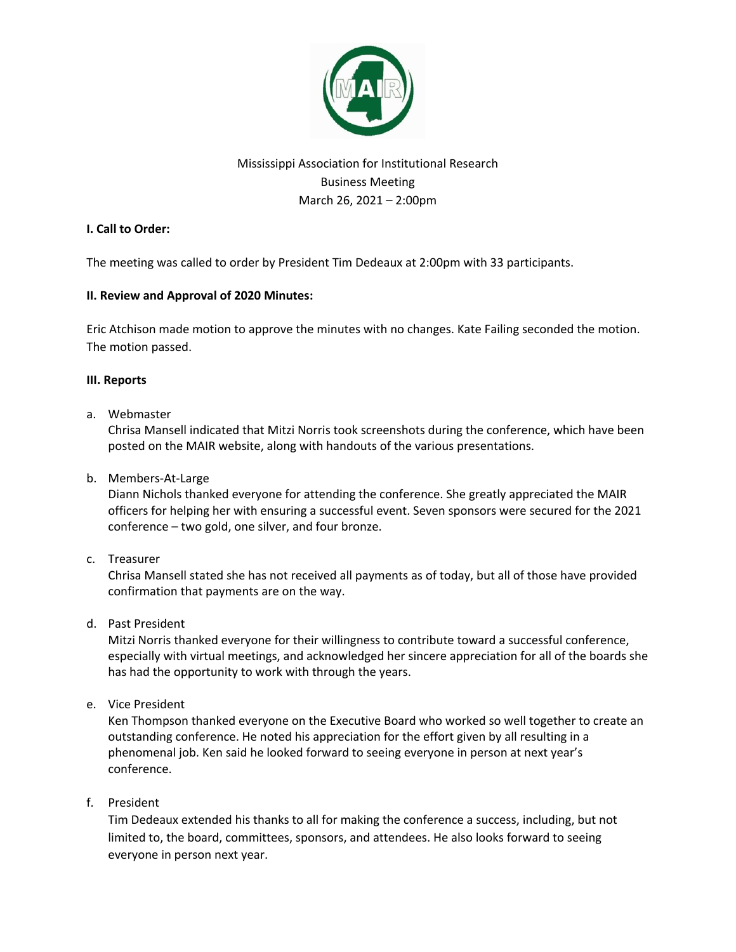

# Mississippi Association for Institutional Research Business Meeting March 26, 2021 – 2:00pm

# **I. Call to Order:**

The meeting was called to order by President Tim Dedeaux at 2:00pm with 33 participants.

# **II. Review and Approval of 2020 Minutes:**

Eric Atchison made motion to approve the minutes with no changes. Kate Failing seconded the motion. The motion passed.

## **III. Reports**

a. Webmaster

Chrisa Mansell indicated that Mitzi Norris took screenshots during the conference, which have been posted on the MAIR website, along with handouts of the various presentations.

b. Members-At-Large

Diann Nichols thanked everyone for attending the conference. She greatly appreciated the MAIR officers for helping her with ensuring a successful event. Seven sponsors were secured for the 2021 conference – two gold, one silver, and four bronze.

c. Treasurer

Chrisa Mansell stated she has not received all payments as of today, but all of those have provided confirmation that payments are on the way.

d. Past President

Mitzi Norris thanked everyone for their willingness to contribute toward a successful conference, especially with virtual meetings, and acknowledged her sincere appreciation for all of the boards she has had the opportunity to work with through the years.

e. Vice President

Ken Thompson thanked everyone on the Executive Board who worked so well together to create an outstanding conference. He noted his appreciation for the effort given by all resulting in a phenomenal job. Ken said he looked forward to seeing everyone in person at next year's conference.

f. President

Tim Dedeaux extended his thanks to all for making the conference a success, including, but not limited to, the board, committees, sponsors, and attendees. He also looks forward to seeing everyone in person next year.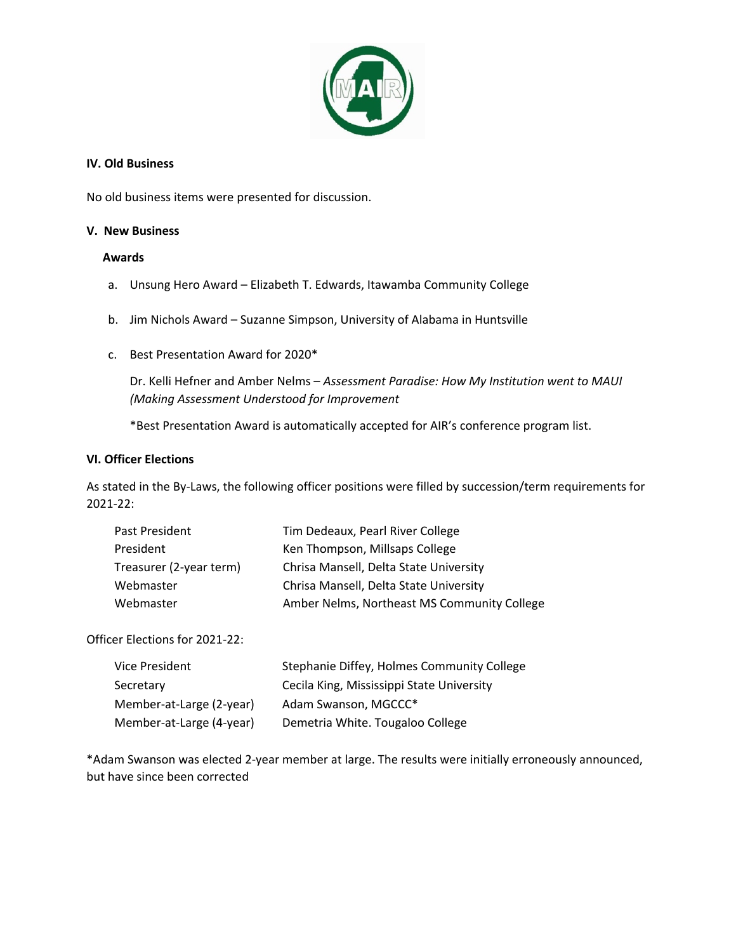

# **IV. Old Business**

No old business items were presented for discussion.

#### **V. New Business**

# **Awards**

- a. Unsung Hero Award Elizabeth T. Edwards, Itawamba Community College
- b. Jim Nichols Award Suzanne Simpson, University of Alabama in Huntsville
- c. Best Presentation Award for 2020\*

Dr. Kelli Hefner and Amber Nelms – *Assessment Paradise: How My Institution went to MAUI (Making Assessment Understood for Improvement*

\*Best Presentation Award is automatically accepted for AIR's conference program list.

## **VI. Officer Elections**

As stated in the By-Laws, the following officer positions were filled by succession/term requirements for 2021-22:

| Past President          | Tim Dedeaux, Pearl River College            |
|-------------------------|---------------------------------------------|
| President               | Ken Thompson, Millsaps College              |
| Treasurer (2-year term) | Chrisa Mansell, Delta State University      |
| Webmaster               | Chrisa Mansell, Delta State University      |
| Webmaster               | Amber Nelms, Northeast MS Community College |

Officer Elections for 2021-22:

| Vice President           | Stephanie Diffey, Holmes Community College |
|--------------------------|--------------------------------------------|
| Secretary                | Cecila King, Mississippi State University  |
| Member-at-Large (2-year) | Adam Swanson, MGCCC*                       |
| Member-at-Large (4-year) | Demetria White. Tougaloo College           |

\*Adam Swanson was elected 2-year member at large. The results were initially erroneously announced, but have since been corrected